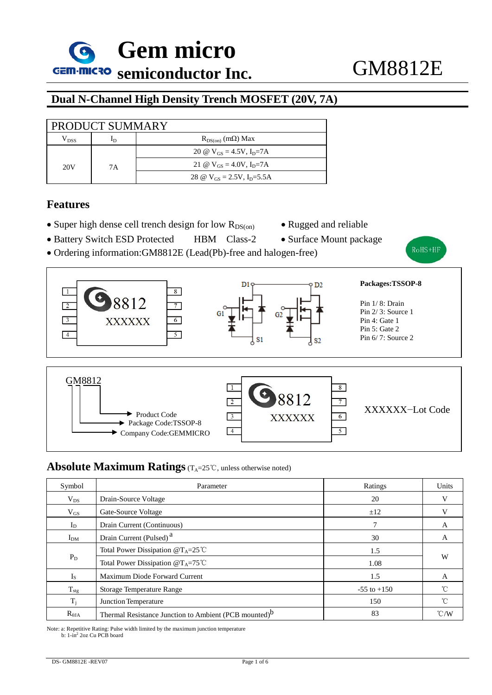**Gem micro GEIN-INICRO** semiconductor Inc. **GM8812E** 

## **Dual N-Channel High Density Trench MOSFET (20V, 7A)**

| PRODUCT SUMMARY     |    |                                             |  |  |
|---------------------|----|---------------------------------------------|--|--|
| ${\rm V}_{\rm DSS}$ | ID | $R_{DS(on)}$ (m $\Omega$ ) Max              |  |  |
|                     |    | 20 @ $V_{GS} = 4.5V$ , $I_{D} = 7A$         |  |  |
| 20V                 | 7Α | 21 @ $V_{GS} = 4.0V$ , I <sub>D</sub> =7A   |  |  |
|                     |    | 28 @ $V_{GS} = 2.5V$ , I <sub>D</sub> =5.5A |  |  |

### **Features**

- Super high dense cell trench design for low  $R_{DS(0)}$  Rugged and reliable
	-
- Battery Switch ESD Protected HBM Class-2 Surface Mount package
	-

RoHS+HF





#### **Absolute Maximum Ratings** (T<sub>A</sub>=25℃, unless otherwise noted)

| Symbol          | Parameter                                                         | Ratings         | Units               |  |
|-----------------|-------------------------------------------------------------------|-----------------|---------------------|--|
| $V_{DS}$        | Drain-Source Voltage                                              | 20              | v                   |  |
| $V_{GS}$        | Gate-Source Voltage                                               | ±12             | V                   |  |
| $I_D$           | Drain Current (Continuous)                                        |                 | А                   |  |
| I <sub>DM</sub> | Drain Current (Pulsed) <sup>a</sup>                               | 30              | A                   |  |
| $P_D$           | Total Power Dissipation $@T_A=25^{\circ}$ C                       | 1.5             | W                   |  |
|                 | Total Power Dissipation $@T_A=75^{\circ}$ C                       | 1.08            |                     |  |
| $I_{S}$         | Maximum Diode Forward Current                                     | 1.5             | A                   |  |
| $T_{\rm stg}$   | <b>Storage Temperature Range</b>                                  | $-55$ to $+150$ | $\int_{0}^{\infty}$ |  |
| $T_i$           | Junction Temperature                                              | 150             | °C                  |  |
| $R_{\theta JA}$ | Thermal Resistance Junction to Ambient (PCB mounted) <sup>D</sup> | 83              | $\degree$ C/W       |  |

Note: a: Repetitive Rating: Pulse width limited by the maximum junction temperature b:  $1-\ln^2 2oz$  Cu PCB board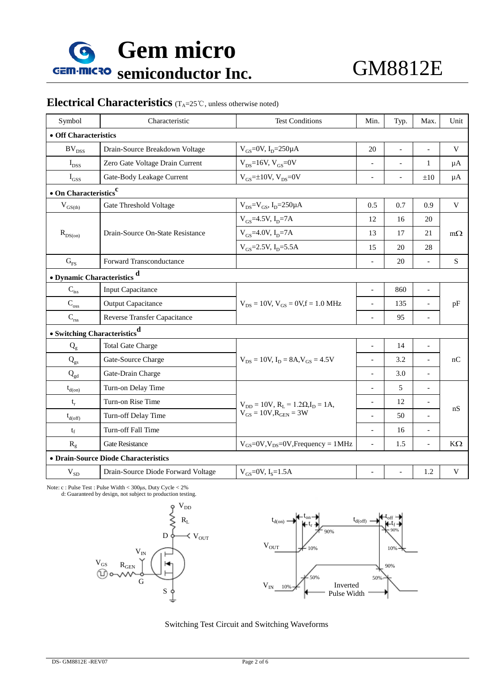

# **Electrical Characteristics** (T<sub>A</sub>=25℃, unless otherwise noted)

| Symbol                                   | Characteristic<br><b>Test Conditions</b>  |                                                   | Min.                     | Typ.                     | Max.                     | Unit         |  |  |  |
|------------------------------------------|-------------------------------------------|---------------------------------------------------|--------------------------|--------------------------|--------------------------|--------------|--|--|--|
| • Off Characteristics                    |                                           |                                                   |                          |                          |                          |              |  |  |  |
| $BV_{DSS}$                               | Drain-Source Breakdown Voltage            | $V_{GS} = 0V$ , $I_{D} = 250 \mu A$               | 20                       | $\overline{\phantom{a}}$ | $\overline{\phantom{a}}$ | V            |  |  |  |
| $I_{DSS}$                                | Zero Gate Voltage Drain Current           | $V_{DS}$ =16V, $V_{GS}$ =0V                       | $\overline{\phantom{a}}$ | $\overline{\phantom{0}}$ | 1                        | $\mu A$      |  |  |  |
| $I_{GSS}$                                | Gate-Body Leakage Current                 | $V_{GS}$ =±10V, $V_{DS}$ =0V                      | $\overline{a}$           |                          | ±10                      | $\mu A$      |  |  |  |
|                                          | $\bullet$ On Characteristics <sup>c</sup> |                                                   |                          |                          |                          |              |  |  |  |
| $\rm V_{GS(th)}$                         | Gate Threshold Voltage                    | $V_{DS} = V_{GS}$ , $I_{D} = 250 \mu A$           | 0.5                      | 0.7                      | 0.9                      | $\mathbf{V}$ |  |  |  |
|                                          | Drain-Source On-State Resistance          | $V_{GS}$ =4.5V, I <sub>D</sub> =7A                | 12                       | 16                       | 20                       |              |  |  |  |
| $R_{DS(on)}$                             |                                           | $V_{GS}$ =4.0V, I <sub>D</sub> =7A<br>13          |                          | 17                       | 21                       | $m\Omega$    |  |  |  |
|                                          |                                           | $V_{GS}$ =2.5V, I <sub>D</sub> =5.5A              | 15                       | 20                       | 28                       |              |  |  |  |
| $G_{FS}$                                 | <b>Forward Transconductance</b>           |                                                   | $\overline{a}$           | 20                       | $\frac{1}{2}$            | S            |  |  |  |
| • Dynamic Characteristics d              |                                           |                                                   |                          |                          |                          |              |  |  |  |
| $\mathbf{C}_{\text{iss}}$                | <b>Input Capacitance</b>                  |                                                   | $\overline{a}$           | 860                      | $\overline{\phantom{a}}$ | pF           |  |  |  |
| $C_{\rm oss}$                            | <b>Output Capacitance</b>                 | $V_{DS} = 10V$ , $V_{GS} = 0V$ , $f = 1.0$ MHz    |                          | 135                      |                          |              |  |  |  |
| $C_{\rm rss}$                            | <b>Reverse Transfer Capacitance</b>       |                                                   | $\overline{a}$           | 95                       | $\overline{a}$           |              |  |  |  |
| • Switching Characteristics <sup>d</sup> |                                           |                                                   |                          |                          |                          |              |  |  |  |
| $Q_{g}$                                  | <b>Total Gate Charge</b>                  |                                                   | $\overline{a}$           | 14                       | $\overline{\phantom{a}}$ | nC           |  |  |  |
| $Q_{gs}$                                 | Gate-Source Charge                        | $V_{DS} = 10V$ , $I_D = 8A$ , $V_{GS} = 4.5V$     | $\overline{a}$           | 3.2                      | $\overline{a}$           |              |  |  |  |
| $Q_{gd}$                                 | Gate-Drain Charge                         |                                                   | $\overline{a}$           | 3.0                      | $\overline{a}$           |              |  |  |  |
| $t_{d(0n)}$                              | Turn-on Delay Time                        |                                                   | $\overline{a}$           | 5                        | $\overline{\phantom{a}}$ | nS           |  |  |  |
| $t_r$                                    | Turn-on Rise Time                         | $V_{DD} = 10V$ , $R_L = 1.2\Omega$ , $I_D = 1A$ , | $\overline{a}$           | 12                       |                          |              |  |  |  |
| $t_{d(\text{off})}$                      | Turn-off Delay Time                       | $V_{GS} = 10V, R_{GEN} = 3W$                      | $\overline{a}$           | 50                       |                          |              |  |  |  |
| $t_f$                                    | Turn-off Fall Time                        |                                                   | $\overline{a}$           | 16                       |                          |              |  |  |  |
| $R_g$                                    | <b>Gate Resistance</b>                    | $V_{GS}$ =0V, $V_{DS}$ =0V, Frequency = 1MHz      | $\overline{a}$           | 1.5                      | $\overline{\phantom{a}}$ | $K\Omega$    |  |  |  |
| • Drain-Source Diode Characteristics     |                                           |                                                   |                          |                          |                          |              |  |  |  |
| $V_{SD}$                                 | Drain-Source Diode Forward Voltage        | $V_{GS}$ =0V, I <sub>s</sub> =1.5A                |                          |                          | 1.2                      | V            |  |  |  |

Note: c : Pulse Test : Pulse Width < 300μs, Duty Cycle < 2%







Switching Test Circuit and Switching Waveforms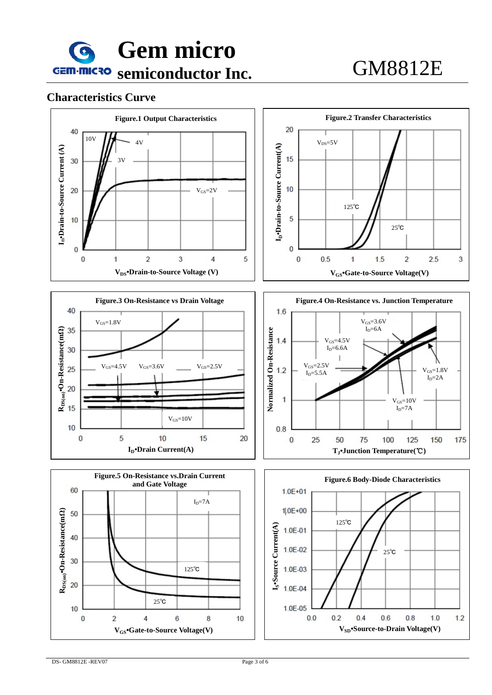

### **Characteristics Curve**











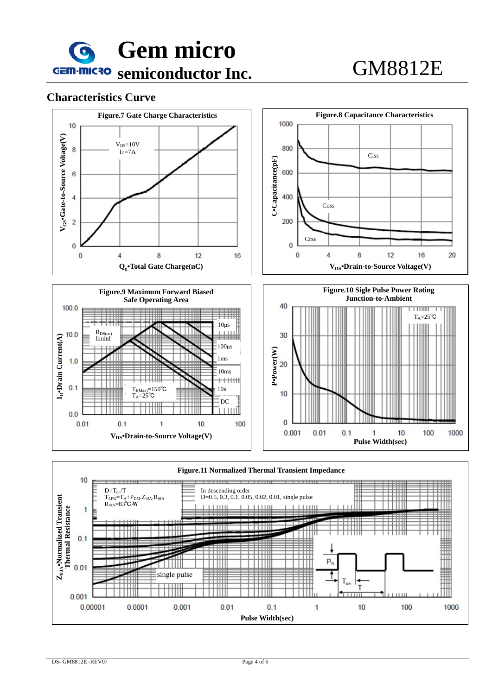

**V<sub>DS</sub>**•Drain-to-Source Voltage(V)

1

 $10$ 

100

### **Characteristics Curve**





 $\overline{0}$ 

0.001

 $0.01$ 

 $0.1$ 

 $\mathbf{1}$ 

 $10$ 

100

1000

 $0.0$ 

 $0.01$ 

 $0.1$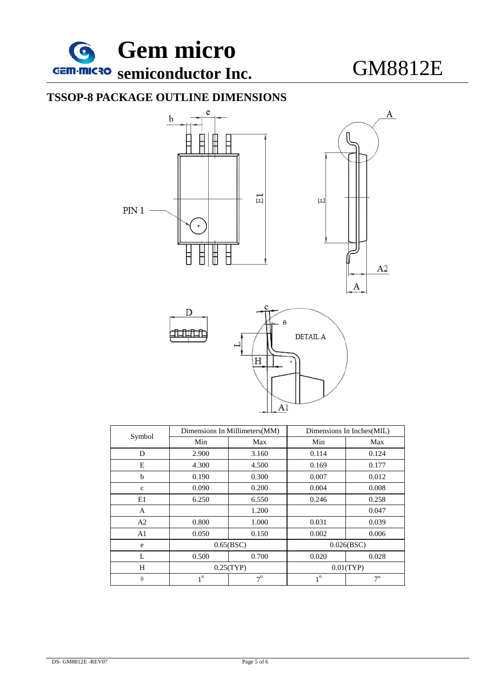

# **TSSOP-8 PACKAGE OUTLINE DIMENSIONS**



| Symbol         | Dimensions In Millimeters (MM) |           | Dimensions In Inches(MIL) |                |  |
|----------------|--------------------------------|-----------|---------------------------|----------------|--|
|                | Min                            | Max       | Min                       | Max            |  |
| D              | 2.900                          | 3.160     | 0.114                     | 0.124          |  |
| E              | 4.300                          | 4.500     | 0.169                     | 0.177          |  |
| b              | 0.190                          | 0.300     | 0.007                     | 0.012          |  |
| $\mathbf{C}$   | 0.090                          | 0.200     | 0.004                     | 0.008          |  |
| E1             | 6.250                          | 6.550     | 0.246                     | 0.258          |  |
| A              |                                | 1.200     |                           | 0.047          |  |
| A2             | 0.800                          | 1.000     | 0.031                     | 0.039          |  |
| A <sub>1</sub> | 0.050                          | 0.150     | 0.002                     | 0.006          |  |
| e              | 0.65(BSC)                      |           | 0.026(BSC)                |                |  |
| L              | 0.500                          | 0.700     | 0.020                     | 0.028          |  |
| H              | 0.25(TYP)                      |           | 0.01(TYP)                 |                |  |
| $\theta$       | $1^\circ$                      | $7^\circ$ | 1 <sup>0</sup>            | $7^\mathrm{o}$ |  |